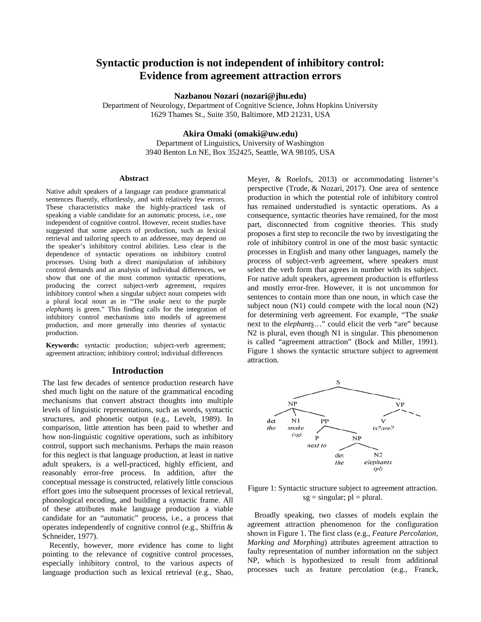# **Syntactic production is not independent of inhibitory control: Evidence from agreement attraction errors**

**Nazbanou Nozari (nozari@jhu.edu)**

Department of Neurology, Department of Cognitive Science, Johns Hopkins University 1629 Thames St., Suite 350, Baltimore, MD 21231, USA

# **Akira Omaki (omaki@uw.edu)**

Department of Linguistics, University of Washington 3940 Benton Ln NE, Box 352425, Seattle, WA 98105, USA

#### **Abstract**

Native adult speakers of a language can produce grammatical sentences fluently, effortlessly, and with relatively few errors. These characteristics make the highly-practiced task of speaking a viable candidate for an automatic process, i.e., one independent of cognitive control. However, recent studies have suggested that some aspects of production, such as lexical retrieval and tailoring speech to an addressee, may depend on the speaker's inhibitory control abilities. Less clear is the dependence of syntactic operations on inhibitory control processes. Using both a direct manipulation of inhibitory control demands and an analysis of individual differences, we show that one of the most common syntactic operations, producing the correct subject-verb agreement, requires inhibitory control when a singular subject noun competes with a plural local noun as in "The *snake* next to the purple *elephants* is green." This finding calls for the integration of inhibitory control mechanisms into models of agreement production, and more generally into theories of syntactic production.

**Keywords:** syntactic production; subject-verb agreement; agreement attraction; inhibitory control; individual differences

#### **Introduction**

The last few decades of sentence production research have shed much light on the nature of the grammatical encoding mechanisms that convert abstract thoughts into multiple levels of linguistic representations, such as words, syntactic structures, and phonetic output (e.g., Levelt, 1989). In comparison, little attention has been paid to whether and how non-linguistic cognitive operations, such as inhibitory control, support such mechanisms. Perhaps the main reason for this neglect is that language production, at least in native adult speakers, is a well-practiced, highly efficient, and reasonably error-free process. In addition, after the conceptual message is constructed, relatively little conscious effort goes into the subsequent processes of lexical retrieval, phonological encoding, and building a syntactic frame. All of these attributes make language production a viable candidate for an "automatic" process, i.e., a process that operates independently of cognitive control (e.g., Shiffrin & Schneider, 1977).

Recently, however, more evidence has come to light pointing to the relevance of cognitive control processes, especially inhibitory control, to the various aspects of language production such as lexical retrieval (e.g., Shao,

Meyer, & Roelofs, 2013) or accommodating listener's perspective (Trude, & Nozari, 2017). One area of sentence production in which the potential role of inhibitory control has remained understudied is syntactic operations. As a consequence, syntactic theories have remained, for the most part, disconnected from cognitive theories. This study proposes a first step to reconcile the two by investigating the role of inhibitory control in one of the most basic syntactic processes in English and many other languages, namely the process of subject-verb agreement, where speakers must select the verb form that agrees in number with its subject. For native adult speakers, agreement production is effortless and mostly error-free. However, it is not uncommon for sentences to contain more than one noun, in which case the subject noun (N1) could compete with the local noun (N2) for determining verb agreement. For example, "The *snake*  next to the *elephants*…" could elicit the verb "are" because N2 is plural, even though N1 is singular. This phenomenon is called "agreement attraction" (Bock and Miller, 1991). Figure 1 shows the syntactic structure subject to agreement attraction.



Figure 1: Syntactic structure subject to agreement attraction.  $sg = singular$ ;  $pl = plural$ .

Broadly speaking, two classes of models explain the agreement attraction phenomenon for the configuration shown in Figure 1. The first class (e.g., *Feature Percolation, Marking and Morphing*) attributes agreement attraction to faulty representation of number information on the subject NP, which is hypothesized to result from additional processes such as feature percolation (e.g., Franck,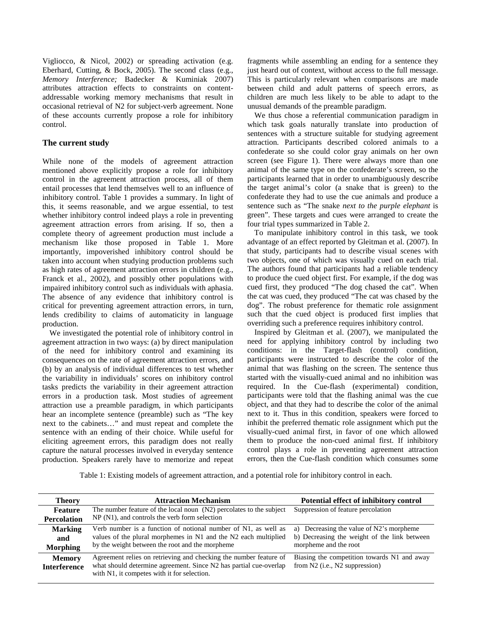Vigliocco, & Nicol, 2002) or spreading activation (e.g. Eberhard, Cutting, & Bock, 2005). The second class (e.g., *Memory Interference;* Badecker & Kuminiak 2007) attributes attraction effects to constraints on contentaddressable working memory mechanisms that result in occasional retrieval of N2 for subject-verb agreement. None of these accounts currently propose a role for inhibitory control.

# **The current study**

While none of the models of agreement attraction mentioned above explicitly propose a role for inhibitory control in the agreement attraction process, all of them entail processes that lend themselves well to an influence of inhibitory control. Table 1 provides a summary. In light of this, it seems reasonable, and we argue essential, to test whether inhibitory control indeed plays a role in preventing agreement attraction errors from arising. If so, then a complete theory of agreement production must include a mechanism like those proposed in Table 1. More importantly, impoverished inhibitory control should be taken into account when studying production problems such as high rates of agreement attraction errors in children (e.g., Franck et al., 2002), and possibly other populations with impaired inhibitory control such as individuals with aphasia. The absence of any evidence that inhibitory control is critical for preventing agreement attraction errors, in turn, lends credibility to claims of automaticity in language production.

We investigated the potential role of inhibitory control in agreement attraction in two ways: (a) by direct manipulation of the need for inhibitory control and examining its consequences on the rate of agreement attraction errors, and (b) by an analysis of individual differences to test whether the variability in individuals' scores on inhibitory control tasks predicts the variability in their agreement attraction errors in a production task. Most studies of agreement attraction use a preamble paradigm, in which participants hear an incomplete sentence (preamble) such as "The key next to the cabinets…" and must repeat and complete the sentence with an ending of their choice. While useful for eliciting agreement errors, this paradigm does not really capture the natural processes involved in everyday sentence production. Speakers rarely have to memorize and repeat

fragments while assembling an ending for a sentence they just heard out of context, without access to the full message. This is particularly relevant when comparisons are made between child and adult patterns of speech errors, as children are much less likely to be able to adapt to the unusual demands of the preamble paradigm.

We thus chose a referential communication paradigm in which task goals naturally translate into production of sentences with a structure suitable for studying agreement attraction. Participants described colored animals to a confederate so she could color gray animals on her own screen (see Figure 1). There were always more than one animal of the same type on the confederate's screen, so the participants learned that in order to unambiguously describe the target animal's color (a snake that is green) to the confederate they had to use the cue animals and produce a sentence such as "The snake *next to the purple elephant* is green". These targets and cues were arranged to create the four trial types summarized in Table 2.

To manipulate inhibitory control in this task, we took advantage of an effect reported by Gleitman et al. (2007). In that study, participants had to describe visual scenes with two objects, one of which was visually cued on each trial. The authors found that participants had a reliable tendency to produce the cued object first. For example, if the dog was cued first, they produced "The dog chased the cat". When the cat was cued, they produced "The cat was chased by the dog". The robust preference for thematic role assignment such that the cued object is produced first implies that overriding such a preference requires inhibitory control.

Inspired by Gleitman et al. (2007), we manipulated the need for applying inhibitory control by including two conditions: in the Target-flash (control) condition, participants were instructed to describe the color of the animal that was flashing on the screen. The sentence thus started with the visually-cued animal and no inhibition was required. In the Cue-flash (experimental) condition, participants were told that the flashing animal was the cue object, and that they had to describe the color of the animal next to it. Thus in this condition, speakers were forced to inhibit the preferred thematic role assignment which put the visually-cued animal first, in favor of one which allowed them to produce the non-cued animal first. If inhibitory control plays a role in preventing agreement attraction errors, then the Cue-flash condition which consumes some

Table 1: Existing models of agreement attraction, and a potential role for inhibitory control in each.

| <b>Theory</b>       | <b>Attraction Mechanism</b>                                                                                      | Potential effect of inhibitory control       |
|---------------------|------------------------------------------------------------------------------------------------------------------|----------------------------------------------|
| <b>Feature</b>      | The number feature of the local noun (N2) percolates to the subject                                              | Suppression of feature percolation           |
| <b>Percolation</b>  | NP (N1), and controls the verb form selection                                                                    |                                              |
| <b>Marking</b>      | Verb number is a function of notional number of N1, as well as                                                   | a) Decreasing the value of N2's morpheme     |
| and                 | values of the plural morphemes in N1 and the N2 each multiplied                                                  | b) Decreasing the weight of the link between |
| <b>Morphing</b>     | by the weight between the root and the morpheme                                                                  | morpheme and the root                        |
| <b>Memory</b>       | Agreement relies on retrieving and checking the number feature of                                                | Biasing the competition towards N1 and away  |
| <b>Interference</b> | what should determine agreement. Since N2 has partial cue-overlap<br>with N1, it competes with it for selection. | from $N2$ (i.e., $N2$ suppression)           |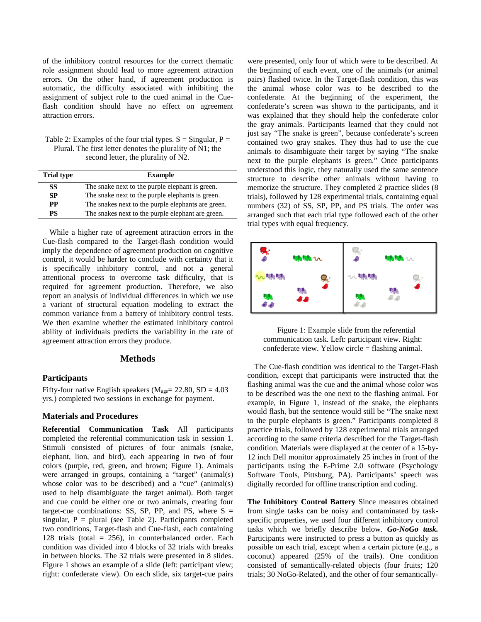of the inhibitory control resources for the correct thematic role assignment should lead to more agreement attraction errors. On the other hand, if agreement production is automatic, the difficulty associated with inhibiting the assignment of subject role to the cued animal in the Cueflash condition should have no effect on agreement attraction errors.

Table 2: Examples of the four trial types.  $S =$  Singular,  $P =$ Plural. The first letter denotes the plurality of N1; the second letter, the plurality of N2.

| <b>Trial type</b> | <b>Example</b>                                     |  |
|-------------------|----------------------------------------------------|--|
| SS                | The snake next to the purple elephant is green.    |  |
| SP                | The snake next to the purple elephants is green.   |  |
| <b>PP</b>         | The snakes next to the purple elephants are green. |  |
| PS                | The snakes next to the purple elephant are green.  |  |

While a higher rate of agreement attraction errors in the Cue-flash compared to the Target-flash condition would imply the dependence of agreement production on cognitive control, it would be harder to conclude with certainty that it is specifically inhibitory control, and not a general attentional process to overcome task difficulty, that is required for agreement production. Therefore, we also report an analysis of individual differences in which we use a variant of structural equation modeling to extract the common variance from a battery of inhibitory control tests. We then examine whether the estimated inhibitory control ability of individuals predicts the variability in the rate of agreement attraction errors they produce.

#### **Methods**

#### **Participants**

Fifty-four native English speakers ( $M_{\text{age}}$  = 22.80, SD = 4.03 yrs.) completed two sessions in exchange for payment.

#### **Materials and Procedures**

**Referential Communication Task** All participants completed the referential communication task in session 1. Stimuli consisted of pictures of four animals (snake, elephant, lion, and bird), each appearing in two of four colors (purple, red, green, and brown; Figure 1). Animals were arranged in groups, containing a "target" (animal(s) whose color was to be described) and a "cue" (animal(s) used to help disambiguate the target animal). Both target and cue could be either one or two animals, creating four target-cue combinations: SS, SP, PP, and PS, where  $S =$ singular,  $P =$  plural (see Table 2). Participants completed two conditions, Target-flash and Cue-flash, each containing 128 trials (total  $= 256$ ), in counterbalanced order. Each condition was divided into 4 blocks of 32 trials with breaks in between blocks. The 32 trials were presented in 8 slides. Figure 1 shows an example of a slide (left: participant view; right: confederate view). On each slide, six target-cue pairs

were presented, only four of which were to be described. At the beginning of each event, one of the animals (or animal pairs) flashed twice. In the Target-flash condition, this was the animal whose color was to be described to the confederate. At the beginning of the experiment, the confederate's screen was shown to the participants, and it was explained that they should help the confederate color the gray animals. Participants learned that they could not just say "The snake is green", because confederate's screen contained two gray snakes. They thus had to use the cue animals to disambiguate their target by saying "The snake next to the purple elephants is green." Once participants understood this logic, they naturally used the same sentence structure to describe other animals without having to memorize the structure. They completed 2 practice slides (8 trials), followed by 128 experimental trials, containing equal numbers (32) of SS, SP, PP, and PS trials. The order was arranged such that each trial type followed each of the other trial types with equal frequency.



Figure 1: Example slide from the referential communication task. Left: participant view. Right: confederate view. Yellow circle = flashing animal.

The Cue-flash condition was identical to the Target-Flash condition, except that participants were instructed that the flashing animal was the cue and the animal whose color was to be described was the one next to the flashing animal. For example, in Figure 1, instead of the snake, the elephants would flash, but the sentence would still be "The snake next to the purple elephants is green." Participants completed 8 practice trials, followed by 128 experimental trials arranged according to the same criteria described for the Target-flash condition. Materials were displayed at the center of a 15-by-12 inch Dell monitor approximately 25 inches in front of the participants using the E-Prime 2.0 software (Psychology Software Tools, Pittsburg, PA). Participants' speech was digitally recorded for offline transcription and coding.

**The Inhibitory Control Battery** Since measures obtained from single tasks can be noisy and contaminated by taskspecific properties, we used four different inhibitory control tasks which we briefly describe below. *Go-NoGo task.* Participants were instructed to press a button as quickly as possible on each trial, except when a certain picture (e.g., a coconut) appeared (25% of the trails). One condition consisted of semantically-related objects (four fruits; 120 trials; 30 NoGo-Related), and the other of four semantically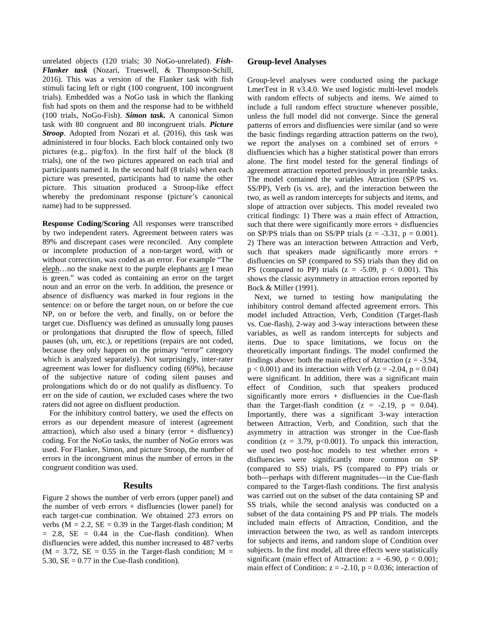unrelated objects (120 trials; 30 NoGo-unrelated). *Fish-Flanker task* (Nozari, Trueswell, & Thompson-Schill, 2016). This was a version of the Flanker task with fish stimuli facing left or right (100 congruent, 100 incongruent trials). Embedded was a NoGo task in which the flanking fish had spots on them and the response had to be withheld (100 trials, NoGo-Fish). *Simon task.* A canonical Simon task with 80 congruent and 80 incongruent trials. *Picture Stroop*. Adopted from Nozari et al. (2016), this task was administered in four blocks. Each block contained only two pictures (e.g., pig/fox). In the first half of the block (8 trials), one of the two pictures appeared on each trial and participants named it. In the second half (8 trials) when each picture was presented, participants had to name the other picture. This situation produced a Stroop-like effect whereby the predominant response (picture's canonical name) had to be suppressed.

**Response Coding/Scoring** All responses were transcribed by two independent raters. Agreement between raters was 89% and discrepant cases were reconciled. Any complete or incomplete production of a non-target word, with or without correction, was coded as an error. For example "The eleph…no the snake next to the purple elephants are I mean is green." was coded as containing an error on the target noun and an error on the verb. In addition, the presence or absence of disfluency was marked in four regions in the sentence: on or before the target noun, on or before the cue NP, on or before the verb, and finally, on or before the target cue. Disfluency was defined as unusually long pauses or prolongations that disrupted the flow of speech, filled pauses (uh, um, etc.), or repetitions (repairs are not coded, because they only happen on the primary "error" category which is analyzed separately). Not surprisingly, inter-rater agreement was lower for disfluency coding (69%), because of the subjective nature of coding silent pauses and prolongations which do or do not qualify as disfluency. To err on the side of caution, we excluded cases where the two raters did not agree on disfluent production.

For the inhibitory control battery, we used the effects on errors as our dependent measure of interest (agreement attraction), which also used a binary (error  $+$  disfluency) coding. For the NoGo tasks, the number of NoGo errors was used. For Flanker, Simon, and picture Stroop, the number of errors in the incongruent minus the number of errors in the congruent condition was used.

# **Results**

Figure 2 shows the number of verb errors (upper panel) and the number of verb errors  $+$  disfluencies (lower panel) for each target-cue combination. We obtained 273 errors on verbs ( $M = 2.2$ ,  $SE = 0.39$  in the Target-flash condition; M  $= 2.8$ , SE  $= 0.44$  in the Cue-flash condition). When disfluencies were added, this number increased to 487 verbs  $(M = 3.72, SE = 0.55$  in the Target-flash condition;  $M =$ 5.30,  $SE = 0.77$  in the Cue-flash condition).

### **Group-level Analyses**

Group-level analyses were conducted using the package LmerTest in R v3.4.0. We used logistic multi-level models with random effects of subjects and items. We aimed to include a full random effect structure whenever possible, unless the full model did not converge. Since the general patterns of errors and disfluencies were similar (and so were the basic findings regarding attraction patterns on the two), we report the analyses on a combined set of errors + disfluencies which has a higher statistical power than errors alone. The first model tested for the general findings of agreement attraction reported previously in preamble tasks. The model contained the variables Attraction (SP/PS vs. SS/PP), Verb (is vs. are), and the interaction between the two, as well as random intercepts for subjects and items, and slope of attraction over subjects. This model revealed two critical findings: 1) There was a main effect of Attraction, such that there were significantly more errors + disfluencies on SP/PS trials than on SS/PP trials  $(z = -3.31, p = 0.001)$ . 2) There was an interaction between Attraction and Verb, such that speakers made significantly more errors + disfluencies on SP (compared to SS) trials than they did on PS (compared to PP) trials  $(z = -5.09, p < 0.001)$ . This shows the classic asymmetry in attraction errors reported by Bock & Miller (1991).

Next, we turned to testing how manipulating the inhibitory control demand affected agreement errors. This model included Attraction, Verb, Condition (Target-flash vs. Cue-flash), 2-way and 3-way interactions between these variables, as well as random intercepts for subjects and items. Due to space limitations, we focus on the theoretically important findings. The model confirmed the findings above: both the main effect of Attraction ( $z = -3.94$ ,  $p < 0.001$ ) and its interaction with Verb ( $z = -2.04$ ,  $p = 0.04$ ) were significant. In addition, there was a significant main effect of Condition, such that speakers produced significantly more errors + disfluencies in the Cue-flash than the Target-flash condition  $(z = -2.19, p = 0.04)$ . Importantly, there was a significant 3-way interaction between Attraction, Verb, and Condition, such that the asymmetry in attraction was stronger in the Cue-flash condition ( $z = 3.79$ ,  $p < 0.001$ ). To unpack this interaction, we used two post-hoc models to test whether errors + disfluencies were significantly more common on SP (compared to SS) trials, PS (compared to PP) trials or both—perhaps with different magnitudes—in the Cue-flash compared to the Target-flash conditions. The first analysis was carried out on the subset of the data containing SP and SS trials, while the second analysis was conducted on a subset of the data containing PS and PP trials. The models included main effects of Attraction, Condition, and the interaction between the two, as well as random intercepts for subjects and items, and random slope of Condition over subjects. In the first model, all three effects were statistically significant (main effect of Attraction:  $z = -6.90$ ,  $p < 0.001$ ; main effect of Condition:  $z = -2.10$ ,  $p = 0.036$ ; interaction of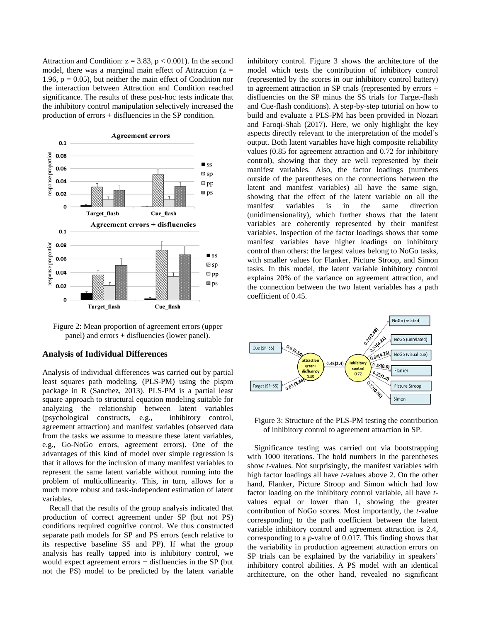Attraction and Condition:  $z = 3.83$ ,  $p < 0.001$ ). In the second model, there was a marginal main effect of Attraction  $(z =$ 1.96,  $p = 0.05$ ), but neither the main effect of Condition nor the interaction between Attraction and Condition reached significance. The results of these post-hoc tests indicate that the inhibitory control manipulation selectively increased the production of errors + disfluencies in the SP condition.



Figure 2: Mean proportion of agreement errors (upper panel) and errors + disfluencies (lower panel).

### **Analysis of Individual Differences**

Analysis of individual differences was carried out by partial least squares path modeling, (PLS-PM) using the plspm package in R (Sanchez, 2013). PLS-PM is a partial least square approach to structural equation modeling suitable for analyzing the relationship between latent variables (psychological constructs, e.g., inhibitory control, agreement attraction) and manifest variables (observed data from the tasks we assume to measure these latent variables, e.g., Go-NoGo errors, agreement errors). One of the advantages of this kind of model over simple regression is that it allows for the inclusion of many manifest variables to represent the same latent variable without running into the problem of multicollinearity. This, in turn, allows for a much more robust and task-independent estimation of latent variables.

Recall that the results of the group analysis indicated that production of correct agreement under SP (but not PS) conditions required cognitive control. We thus constructed separate path models for SP and PS errors (each relative to its respective baseline SS and PP). If what the group analysis has really tapped into is inhibitory control, we would expect agreement errors + disfluencies in the SP (but not the PS) model to be predicted by the latent variable inhibitory control. Figure 3 shows the architecture of the model which tests the contribution of inhibitory control (represented by the scores in our inhibitory control battery) to agreement attraction in SP trials (represented by errors + disfluencies on the SP minus the SS trials for Target-flash and Cue-flash conditions). A step-by-step tutorial on how to build and evaluate a PLS-PM has been provided in Nozari and Faroqi-Shah (2017). Here, we only highlight the key aspects directly relevant to the interpretation of the model's output. Both latent variables have high composite reliability values (0.85 for agreement attraction and 0.72 for inhibitory control), showing that they are well represented by their manifest variables. Also, the factor loadings (numbers outside of the parentheses on the connections between the latent and manifest variables) all have the same sign, showing that the effect of the latent variable on all the manifest variables is in the same direction (unidimensionality), which further shows that the latent variables are coherently represented by their manifest variables. Inspection of the factor loadings shows that some manifest variables have higher loadings on inhibitory control than others: the largest values belong to NoGo tasks, with smaller values for Flanker, Picture Stroop, and Simon tasks. In this model, the latent variable inhibitory control explains 20% of the variance on agreement attraction, and the connection between the two latent variables has a path coefficient of 0.45.



Figure 3: Structure of the PLS-PM testing the contribution of inhibitory control to agreement attraction in SP.

Significance testing was carried out via bootstrapping with 1000 iterations. The bold numbers in the parentheses show *t*-values. Not surprisingly, the manifest variables with high factor loadings all have *t*-values above 2. On the other hand, Flanker, Picture Stroop and Simon which had low factor loading on the inhibitory control variable, all have *t*values equal or lower than 1, showing the greater contribution of NoGo scores. Most importantly, the *t*-value corresponding to the path coefficient between the latent variable inhibitory control and agreement attraction is 2.4, corresponding to a *p*-value of 0.017. This finding shows that the variability in production agreement attraction errors on SP trials can be explained by the variability in speakers' inhibitory control abilities. A PS model with an identical architecture, on the other hand, revealed no significant